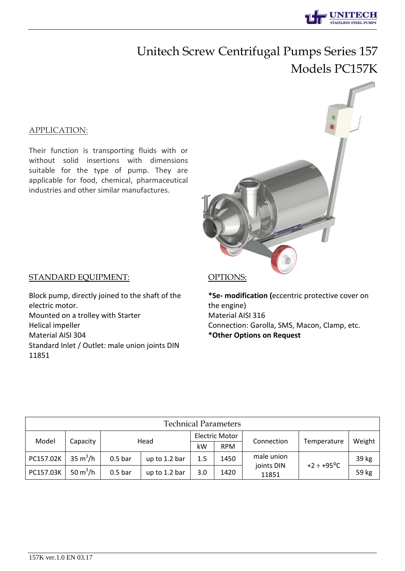## Unitech Screw Centrifugal Pumps Series 157 Models PC157K

#### APPLICATION:

Their function is transporting fluids with or without solid insertions with dimensions suitable for the type of pump. They are applicable for food, chemical, pharmaceutical industries and other similar manufactures.

#### STANDARD EQUIPMENT:

Block pump, directly joined to the shaft of the electric motor. Mounted on a trolley with Starter Helical impeller Material AISI 304 Standard Inlet / Outlet: male union joints DIN 11851

#### OPTIONS:

**\*Sе- modification (**eccentric protective cover on the engine) Material AISI 316 Connection: Garolla, SMS, Macon, Clamp, etc. **\*Other Options on Request**

| <b>Technical Parameters</b> |                           |                    |               |                       |            |                     |                        |        |  |  |  |  |  |
|-----------------------------|---------------------------|--------------------|---------------|-----------------------|------------|---------------------|------------------------|--------|--|--|--|--|--|
| Model                       | Capacity                  | Head               |               | <b>Electric Motor</b> |            | Connection          | Temperature            | Weight |  |  |  |  |  |
|                             |                           |                    |               | kW                    | <b>RPM</b> |                     |                        |        |  |  |  |  |  |
| PC157.02K                   | $35 \text{ m}^3/\text{h}$ | 0.5 <sub>bar</sub> | up to 1.2 bar | 1.5                   | 1450       | male union          | $+2 \div +95^{\circ}C$ | 39 kg  |  |  |  |  |  |
| PC157.03K                   | 50 $m^3/h$                | 0.5 <sub>bar</sub> | up to 1.2 bar | 3.0                   | 1420       | joints DIN<br>11851 |                        | 59 kg  |  |  |  |  |  |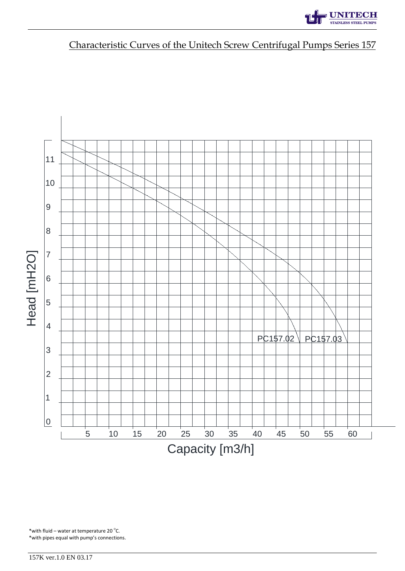# **UNITECH**

### Characteristic Curves of the Unitech Screw Centrifugal Pumps Series 157



\* with fluid – water at temperature 20 $\degree$ C. \*with pipes equal with pump's connections.